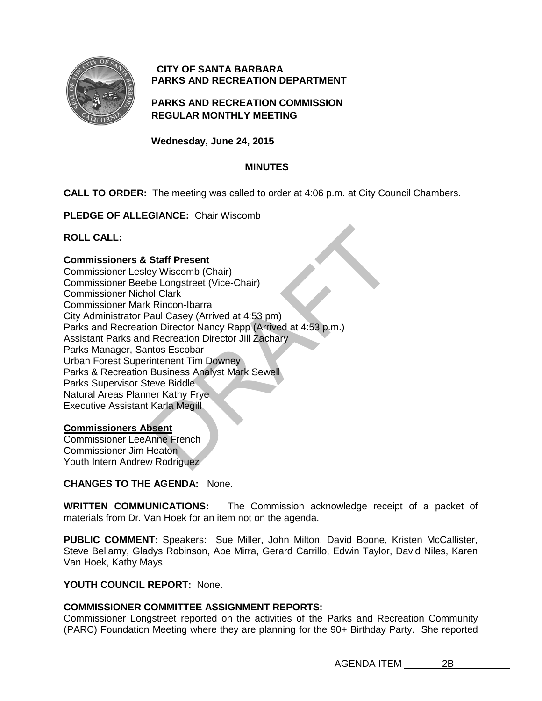

# **CITY OF SANTA BARBARA PARKS AND RECREATION DEPARTMENT**

# **PARKS AND RECREATION COMMISSION REGULAR MONTHLY MEETING**

**Wednesday, June 24, 2015**

# **MINUTES**

**CALL TO ORDER:** The meeting was called to order at 4:06 p.m. at City Council Chambers.

**PLEDGE OF ALLEGIANCE:** Chair Wiscomb

**ROLL CALL:** 

### **Commissioners & Staff Present**

Staff Present<br>
ey Wiscomb (Chair)<br>
be Longstreet (Vice-Chair)<br>
ol Clark<br>
c Rincon-Ibarra<br>
caul Casey (Arrived at 4:53 pm)<br>
on Director Nancy Rapp (Arrived at 4:53 p.m.)<br>
Recreation Director Jill Zachary<br>
ritistenent Tim Do Commissioner Lesley Wiscomb (Chair) Commissioner Beebe Longstreet (Vice-Chair) Commissioner Nichol Clark Commissioner Mark Rincon-Ibarra City Administrator Paul Casey (Arrived at 4:53 pm) Parks and Recreation Director Nancy Rapp (Arrived at 4:53 p.m.) Assistant Parks and Recreation Director Jill Zachary Parks Manager, Santos Escobar Urban Forest Superintenent Tim Downey Parks & Recreation Business Analyst Mark Sewell Parks Supervisor Steve Biddle Natural Areas Planner Kathy Frye Executive Assistant Karla Megill

## **Commissioners Absent**

Commissioner LeeAnne French Commissioner Jim Heaton Youth Intern Andrew Rodriguez

## **CHANGES TO THE AGENDA:** None.

**WRITTEN COMMUNICATIONS:** The Commission acknowledge receipt of a packet of materials from Dr. Van Hoek for an item not on the agenda.

PUBLIC COMMENT: Speakers: Sue Miller, John Milton, David Boone, Kristen McCallister, Steve Bellamy, Gladys Robinson, Abe Mirra, Gerard Carrillo, Edwin Taylor, David Niles, Karen Van Hoek, Kathy Mays

# **YOUTH COUNCIL REPORT:** None.

## **COMMISSIONER COMMITTEE ASSIGNMENT REPORTS:**

Commissioner Longstreet reported on the activities of the Parks and Recreation Community (PARC) Foundation Meeting where they are planning for the 90+ Birthday Party. She reported

AGENDA ITEM 2B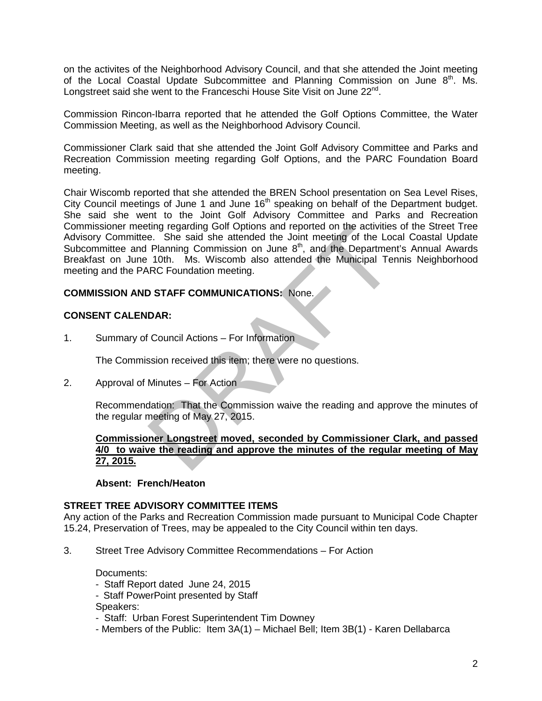on the activites of the Neighborhood Advisory Council, and that she attended the Joint meeting of the Local Coastal Update Subcommittee and Planning Commission on June  $8<sup>th</sup>$ . Ms. Longstreet said she went to the Franceschi House Site Visit on June  $22^{nd}$ .

Commission Rincon-Ibarra reported that he attended the Golf Options Committee, the Water Commission Meeting, as well as the Neighborhood Advisory Council.

Commissioner Clark said that she attended the Joint Golf Advisory Committee and Parks and Recreation Commission meeting regarding Golf Options, and the PARC Foundation Board meeting.

ting regarding Golf Options and reported on the activities of<br>
e. She said she attended the Joint meeting of the Local of<br>
Planning Commission on June 8<sup>th</sup>, and the Department's<br>
10th. Ms. Wiscomb also attended the Munici Chair Wiscomb reported that she attended the BREN School presentation on Sea Level Rises, City Council meetings of June 1 and June 16<sup>th</sup> speaking on behalf of the Department budget. She said she went to the Joint Golf Advisory Committee and Parks and Recreation Commissioner meeting regarding Golf Options and reported on the activities of the Street Tree Advisory Committee. She said she attended the Joint meeting of the Local Coastal Update Subcommittee and Planning Commission on June 8<sup>th</sup>, and the Department's Annual Awards Breakfast on June 10th. Ms. Wiscomb also attended the Municipal Tennis Neighborhood meeting and the PARC Foundation meeting.

### **COMMISSION AND STAFF COMMUNICATIONS:** None.

### **CONSENT CALENDAR:**

1. Summary of Council Actions – For Information

The Commission received this item; there were no questions.

2. Approval of Minutes – For Action

Recommendation: That the Commission waive the reading and approve the minutes of the regular meeting of May 27, 2015.

### **Commissioner Longstreet moved, seconded by Commissioner Clark, and passed 4/0 to waive the reading and approve the minutes of the regular meeting of May 27, 2015.**

### **Absent: French/Heaton**

### **STREET TREE ADVISORY COMMITTEE ITEMS**

Any action of the Parks and Recreation Commission made pursuant to Municipal Code Chapter 15.24, Preservation of Trees, may be appealed to the City Council within ten days.

3. Street Tree Advisory Committee Recommendations – For Action

### Documents:

- Staff Report dated June 24, 2015
- Staff PowerPoint presented by Staff
- Speakers:
- Staff: Urban Forest Superintendent Tim Downey
- Members of the Public: Item 3A(1) Michael Bell; Item 3B(1) Karen Dellabarca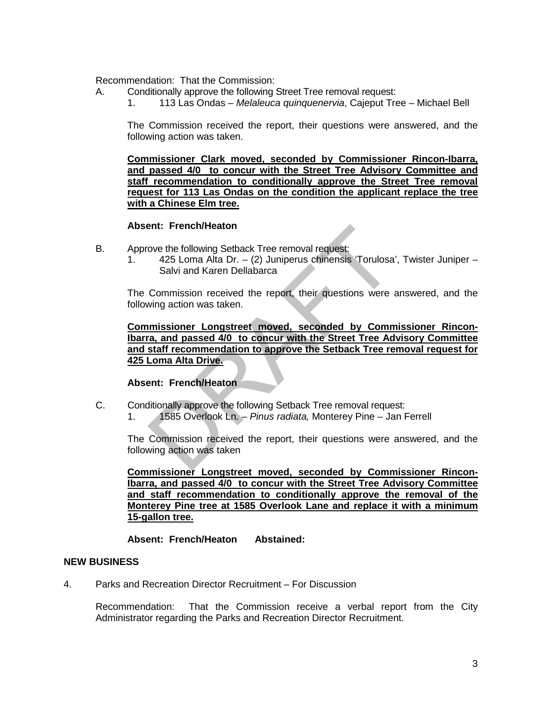Recommendation: That the Commission:

- A. Conditionally approve the following Street Tree removal request:
	- 1. 113 Las Ondas *Melaleuca quinquenervia*, Cajeput Tree Michael Bell

The Commission received the report, their questions were answered, and the following action was taken.

**Commissioner Clark moved, seconded by Commissioner Rincon-Ibarra, and passed 4/0 to concur with the Street Tree Advisory Committee and staff recommendation to conditionally approve the Street Tree removal request for 113 Las Ondas on the condition the applicant replace the tree with a Chinese Elm tree.**

### **Absent: French/Heaton**

- B. Approve the following Setback Tree removal request:
	- 1. 425 Loma Alta Dr. (2) Juniperus chinensis 'Torulosa', Twister Juniper Salvi and Karen Dellabarca

The Commission received the report, their questions were answered, and the following action was taken.

ent: French/Heaton<br>
ove the following Setback Tree removal request:<br>
425 Loma Alta Dr. – (2) Juniperus chinensis 'Torulosa', Tv<br>
Salvi and Karen Dellabarca<br>
Commission received the report, their questions were answing acti **Commissioner Longstreet moved, seconded by Commissioner Rincon-Ibarra, and passed 4/0 to concur with the Street Tree Advisory Committee and staff recommendation to approve the Setback Tree removal request for 425 Loma Alta Drive.**

### **Absent: French/Heaton**

- C. Conditionally approve the following Setback Tree removal request:
	- 1. 1585 Overlook Ln. *Pinus radiata,* Monterey Pine Jan Ferrell

The Commission received the report, their questions were answered, and the following action was taken

**Commissioner Longstreet moved, seconded by Commissioner Rincon-Ibarra, and passed 4/0 to concur with the Street Tree Advisory Committee and staff recommendation to conditionally approve the removal of the Monterey Pine tree at 1585 Overlook Lane and replace it with a minimum 15-gallon tree.**

### **Absent: French/Heaton Abstained:**

### **NEW BUSINESS**

4. Parks and Recreation Director Recruitment – For Discussion

Recommendation: That the Commission receive a verbal report from the City Administrator regarding the Parks and Recreation Director Recruitment.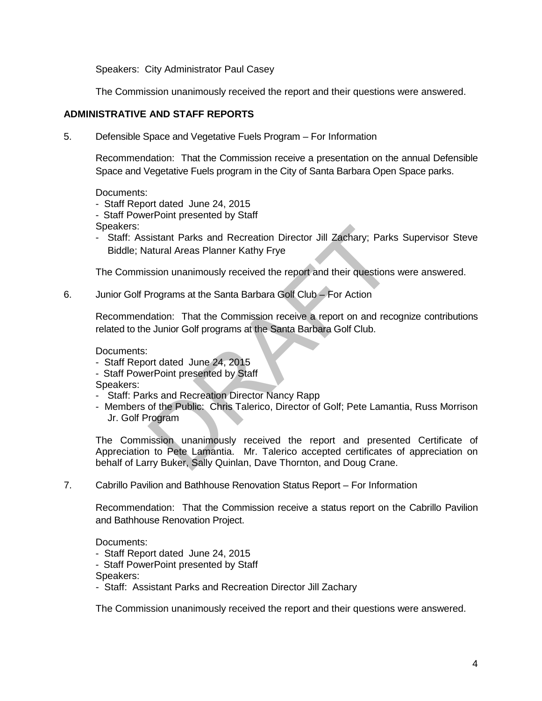Speakers: City Administrator Paul Casey

The Commission unanimously received the report and their questions were answered.

# **ADMINISTRATIVE AND STAFF REPORTS**

5. Defensible Space and Vegetative Fuels Program – For Information

Recommendation: That the Commission receive a presentation on the annual Defensible Space and Vegetative Fuels program in the City of Santa Barbara Open Space parks.

Documents:

- Staff Report dated June 24, 2015
- Staff PowerPoint presented by Staff

Speakers:

- Staff: Assistant Parks and Recreation Director Jill Zachary; Parks Supervisor Steve Biddle; Natural Areas Planner Kathy Frye

The Commission unanimously received the report and their questions were answered.

6. Junior Golf Programs at the Santa Barbara Golf Club – For Action

Recommendation: That the Commission receive a report on and recognize contributions related to the Junior Golf programs at the Santa Barbara Golf Club.

Documents:

- Staff Report dated June 24, 2015
- Staff PowerPoint presented by Staff

Speakers:

- Staff: Parks and Recreation Director Nancy Rapp
- Members of the Public: Chris Talerico, Director of Golf; Pete Lamantia, Russ Morrison Jr. Golf Program

sistant Parks and Recreation Director Jill Zachary; Parks St<br>atural Areas Planner Kathy Frye<br>ssion unanimously received the report and their questions were<br>Programs at the Santa Barbara Golf Club – For Action<br>dation: That The Commission unanimously received the report and presented Certificate of Appreciation to Pete Lamantia. Mr. Talerico accepted certificates of appreciation on behalf of Larry Buker, Sally Quinlan, Dave Thornton, and Doug Crane.

7. Cabrillo Pavilion and Bathhouse Renovation Status Report – For Information

Recommendation: That the Commission receive a status report on the Cabrillo Pavilion and Bathhouse Renovation Project.

Documents:

- Staff Report dated June 24, 2015

- Staff PowerPoint presented by Staff

Speakers:

- Staff: Assistant Parks and Recreation Director Jill Zachary

The Commission unanimously received the report and their questions were answered.